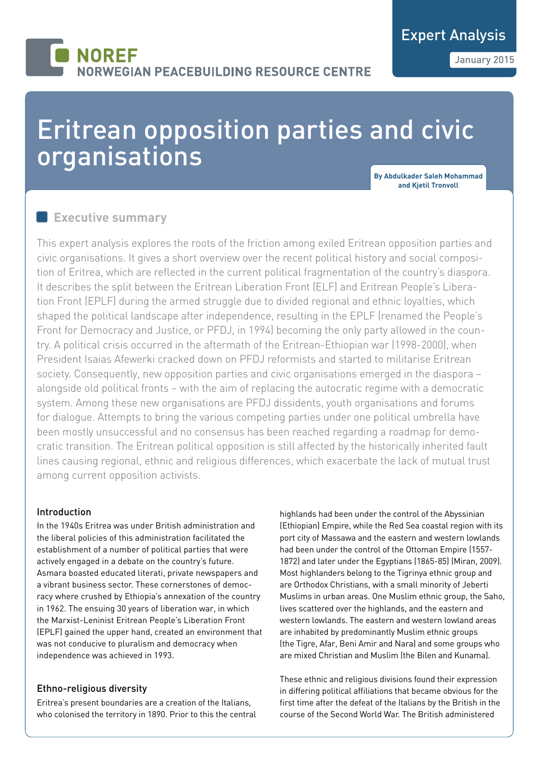# Eritrean opposition parties and civic organisations

**By Abdulkader Saleh Mohammad and Kjetil Tronvoll**

Expert Analysis

January 2015

## **Executive summary**

This expert analysis explores the roots of the friction among exiled Eritrean opposition parties and civic organisations. It gives a short overview over the recent political history and social composition of Eritrea, which are reflected in the current political fragmentation of the country's diaspora. It describes the split between the Eritrean Liberation Front (ELF) and Eritrean People's Liberation Front (EPLF) during the armed struggle due to divided regional and ethnic loyalties, which shaped the political landscape after independence, resulting in the EPLF (renamed the People's Front for Democracy and Justice, or PFDJ, in 1994) becoming the only party allowed in the country. A political crisis occurred in the aftermath of the Eritrean-Ethiopian war (1998-2000), when President Isaias Afewerki cracked down on PFDJ reformists and started to militarise Eritrean society. Consequently, new opposition parties and civic organisations emerged in the diaspora – alongside old political fronts – with the aim of replacing the autocratic regime with a democratic system. Among these new organisations are PFDJ dissidents, youth organisations and forums for dialogue. Attempts to bring the various competing parties under one political umbrella have been mostly unsuccessful and no consensus has been reached regarding a roadmap for democratic transition. The Eritrean political opposition is still affected by the historically inherited fault lines causing regional, ethnic and religious differences, which exacerbate the lack of mutual trust among current opposition activists.

#### Introduction

In the 1940s Eritrea was under British administration and the liberal policies of this administration facilitated the establishment of a number of political parties that were actively engaged in a debate on the country's future. Asmara boasted educated literati, private newspapers and a vibrant business sector. These cornerstones of democracy where crushed by Ethiopia's annexation of the country in 1962. The ensuing 30 years of liberation war, in which the Marxist-Leninist Eritrean People's Liberation Front (EPLF) gained the upper hand, created an environment that was not conducive to pluralism and democracy when independence was achieved in 1993.

## Ethno-religious diversity

Eritrea's present boundaries are a creation of the Italians, who colonised the territory in 1890. Prior to this the central highlands had been under the control of the Abyssinian (Ethiopian) Empire, while the Red Sea coastal region with its port city of Massawa and the eastern and western lowlands had been under the control of the Ottoman Empire (1557- 1872) and later under the Egyptians (1865-85) (Miran, 2009). Most highlanders belong to the Tigrinya ethnic group and are Orthodox Christians, with a small minority of Jeberti Muslims in urban areas. One Muslim ethnic group, the Saho, lives scattered over the highlands, and the eastern and western lowlands. The eastern and western lowland areas are inhabited by predominantly Muslim ethnic groups (the Tigre, Afar, Beni Amir and Nara) and some groups who are mixed Christian and Muslim (the Bilen and Kunama).

These ethnic and religious divisions found their expression in differing political affiliations that became obvious for the first time after the defeat of the Italians by the British in the course of the Second World War. The British administered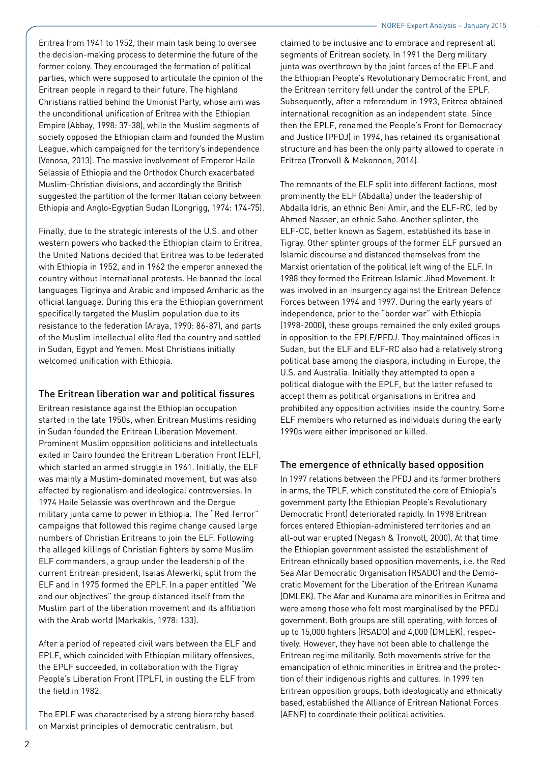Eritrea from 1941 to 1952, their main task being to oversee the decision-making process to determine the future of the former colony. They encouraged the formation of political parties, which were supposed to articulate the opinion of the Eritrean people in regard to their future. The highland Christians rallied behind the Unionist Party, whose aim was the unconditional unification of Eritrea with the Ethiopian Empire (Abbay, 1998: 37-38), while the Muslim segments of society opposed the Ethiopian claim and founded the Muslim League, which campaigned for the territory's independence (Venosa, 2013). The massive involvement of Emperor Haile Selassie of Ethiopia and the Orthodox Church exacerbated Muslim-Christian divisions, and accordingly the British suggested the partition of the former Italian colony between Ethiopia and Anglo-Egyptian Sudan (Longrigg, 1974: 174-75).

Finally, due to the strategic interests of the U.S. and other western powers who backed the Ethiopian claim to Eritrea, the United Nations decided that Eritrea was to be federated with Ethiopia in 1952, and in 1962 the emperor annexed the country without international protests. He banned the local languages Tigrinya and Arabic and imposed Amharic as the official language. During this era the Ethiopian government specifically targeted the Muslim population due to its resistance to the federation (Araya, 1990: 86-87), and parts of the Muslim intellectual elite fled the country and settled in Sudan, Egypt and Yemen. Most Christians initially welcomed unification with Ethiopia.

#### The Eritrean liberation war and political fissures

Eritrean resistance against the Ethiopian occupation started in the late 1950s, when Eritrean Muslims residing in Sudan founded the Eritrean Liberation Movement. Prominent Muslim opposition politicians and intellectuals exiled in Cairo founded the Eritrean Liberation Front (ELF), which started an armed struggle in 1961. Initially, the ELF was mainly a Muslim-dominated movement, but was also affected by regionalism and ideological controversies. In 1974 Haile Selassie was overthrown and the Dergue military junta came to power in Ethiopia. The "Red Terror" campaigns that followed this regime change caused large numbers of Christian Eritreans to join the ELF. Following the alleged killings of Christian fighters by some Muslim ELF commanders, a group under the leadership of the current Eritrean president, Isaias Afewerki, split from the ELF and in 1975 formed the EPLF. In a paper entitled "We and our objectives" the group distanced itself from the Muslim part of the liberation movement and its affiliation with the Arab world (Markakis, 1978: 133).

After a period of repeated civil wars between the ELF and EPLF, which coincided with Ethiopian military offensives, the EPLF succeeded, in collaboration with the Tigray People's Liberation Front (TPLF), in ousting the ELF from the field in 1982.

The EPLF was characterised by a strong hierarchy based on Marxist principles of democratic centralism, but

claimed to be inclusive and to embrace and represent all segments of Eritrean society. In 1991 the Derg military junta was overthrown by the joint forces of the EPLF and the Ethiopian People's Revolutionary Democratic Front, and the Eritrean territory fell under the control of the EPLF. Subsequently, after a referendum in 1993, Eritrea obtained international recognition as an independent state. Since then the EPLF, renamed the People's Front for Democracy and Justice (PFDJ) in 1994, has retained its organisational structure and has been the only party allowed to operate in Eritrea (Tronvoll & Mekonnen, 2014).

The remnants of the ELF split into different factions, most prominently the ELF (Abdalla) under the leadership of Abdalla Idris, an ethnic Beni Amir, and the ELF-RC, led by Ahmed Nasser, an ethnic Saho. Another splinter, the ELF-CC, better known as Sagem, established its base in Tigray. Other splinter groups of the former ELF pursued an Islamic discourse and distanced themselves from the Marxist orientation of the political left wing of the ELF. In 1988 they formed the Eritrean Islamic Jihad Movement. It was involved in an insurgency against the Eritrean Defence Forces between 1994 and 1997. During the early years of independence, prior to the "border war" with Ethiopia (1998-2000), these groups remained the only exiled groups in opposition to the EPLF/PFDJ. They maintained offices in Sudan, but the ELF and ELF-RC also had a relatively strong political base among the diaspora, including in Europe, the U.S. and Australia. Initially they attempted to open a political dialogue with the EPLF, but the latter refused to accept them as political organisations in Eritrea and prohibited any opposition activities inside the country. Some ELF members who returned as individuals during the early 1990s were either imprisoned or killed.

#### The emergence of ethnically based opposition

In 1997 relations between the PFDJ and its former brothers in arms, the TPLF, which constituted the core of Ethiopia's government party (the Ethiopian People's Revolutionary Democratic Front) deteriorated rapidly. In 1998 Eritrean forces entered Ethiopian-administered territories and an all-out war erupted (Negash & Tronvoll, 2000). At that time the Ethiopian government assisted the establishment of Eritrean ethnically based opposition movements, i.e. the Red Sea Afar Democratic Organisation (RSADO) and the Democratic Movement for the Liberation of the Eritrean Kunama (DMLEK). The Afar and Kunama are minorities in Eritrea and were among those who felt most marginalised by the PFDJ government. Both groups are still operating, with forces of up to 15,000 fighters (RSADO) and 4,000 (DMLEK), respectively. However, they have not been able to challenge the Eritrean regime militarily. Both movements strive for the emancipation of ethnic minorities in Eritrea and the protection of their indigenous rights and cultures. In 1999 ten Eritrean opposition groups, both ideologically and ethnically based, established the Alliance of Eritrean National Forces (AENF) to coordinate their political activities.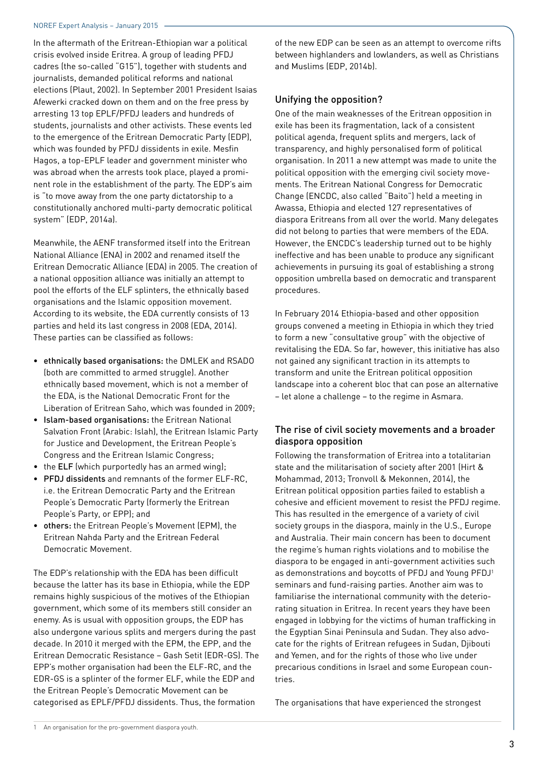In the aftermath of the Eritrean-Ethiopian war a political crisis evolved inside Eritrea. A group of leading PFDJ cadres (the so-called "G15"), together with students and journalists, demanded political reforms and national elections (Plaut, 2002). In September 2001 President Isaias Afewerki cracked down on them and on the free press by arresting 13 top EPLF/PFDJ leaders and hundreds of students, journalists and other activists. These events led to the emergence of the Eritrean Democratic Party (EDP), which was founded by PFDJ dissidents in exile. Mesfin Hagos, a top-EPLF leader and government minister who was abroad when the arrests took place, played a prominent role in the establishment of the party. The EDP's aim is "to move away from the one party dictatorship to a constitutionally anchored multi-party democratic political system" (EDP, 2014a).

Meanwhile, the AENF transformed itself into the Eritrean National Alliance (ENA) in 2002 and renamed itself the Eritrean Democratic Alliance (EDA) in 2005. The creation of a national opposition alliance was initially an attempt to pool the efforts of the ELF splinters, the ethnically based organisations and the Islamic opposition movement. According to its website, the EDA currently consists of 13 parties and held its last congress in 2008 (EDA, 2014). These parties can be classified as follows:

- ethnically based organisations: the DMLEK and RSADO (both are committed to armed struggle). Another ethnically based movement, which is not a member of the EDA, is the National Democratic Front for the Liberation of Eritrean Saho, which was founded in 2009;
- Islam-based organisations: the Eritrean National Salvation Front (Arabic: Islah), the Eritrean Islamic Party for Justice and Development, the Eritrean People's Congress and the Eritrean Islamic Congress;
- the ELF (which purportedly has an armed wing);
- PFDJ dissidents and remnants of the former ELF-RC, i.e. the Eritrean Democratic Party and the Eritrean People's Democratic Party (formerly the Eritrean People's Party, or EPP); and
- others: the Eritrean People's Movement (EPM), the Eritrean Nahda Party and the Eritrean Federal Democratic Movement.

The EDP's relationship with the EDA has been difficult because the latter has its base in Ethiopia, while the EDP remains highly suspicious of the motives of the Ethiopian government, which some of its members still consider an enemy. As is usual with opposition groups, the EDP has also undergone various splits and mergers during the past decade. In 2010 it merged with the EPM, the EPP, and the Eritrean Democratic Resistance – Gash Setit (EDR-GS). The EPP's mother organisation had been the ELF-RC, and the EDR-GS is a splinter of the former ELF, while the EDP and the Eritrean People's Democratic Movement can be categorised as EPLF/PFDJ dissidents. Thus, the formation

of the new EDP can be seen as an attempt to overcome rifts between highlanders and lowlanders, as well as Christians and Muslims (EDP, 2014b).

## Unifying the opposition?

One of the main weaknesses of the Eritrean opposition in exile has been its fragmentation, lack of a consistent political agenda, frequent splits and mergers, lack of transparency, and highly personalised form of political organisation. In 2011 a new attempt was made to unite the political opposition with the emerging civil society movements. The Eritrean National Congress for Democratic Change (ENCDC, also called "Baito") held a meeting in Awassa, Ethiopia and elected 127 representatives of diaspora Eritreans from all over the world. Many delegates did not belong to parties that were members of the EDA. However, the ENCDC's leadership turned out to be highly ineffective and has been unable to produce any significant achievements in pursuing its goal of establishing a strong opposition umbrella based on democratic and transparent procedures.

In February 2014 Ethiopia-based and other opposition groups convened a meeting in Ethiopia in which they tried to form a new "consultative group" with the objective of revitalising the EDA. So far, however, this initiative has also not gained any significant traction in its attempts to transform and unite the Eritrean political opposition landscape into a coherent bloc that can pose an alternative – let alone a challenge – to the regime in Asmara.

#### The rise of civil society movements and a broader diaspora opposition

Following the transformation of Eritrea into a totalitarian state and the militarisation of society after 2001 (Hirt & Mohammad, 2013; Tronvoll & Mekonnen, 2014), the Eritrean political opposition parties failed to establish a cohesive and efficient movement to resist the PFDJ regime. This has resulted in the emergence of a variety of civil society groups in the diaspora, mainly in the U.S., Europe and Australia. Their main concern has been to document the regime's human rights violations and to mobilise the diaspora to be engaged in anti-government activities such as demonstrations and boycotts of PFDJ and Young PFDJ1 seminars and fund-raising parties. Another aim was to familiarise the international community with the deteriorating situation in Eritrea. In recent years they have been engaged in lobbying for the victims of human trafficking in the Egyptian Sinai Peninsula and Sudan. They also advocate for the rights of Eritrean refugees in Sudan, Djibouti and Yemen, and for the rights of those who live under precarious conditions in Israel and some European countries.

The organisations that have experienced the strongest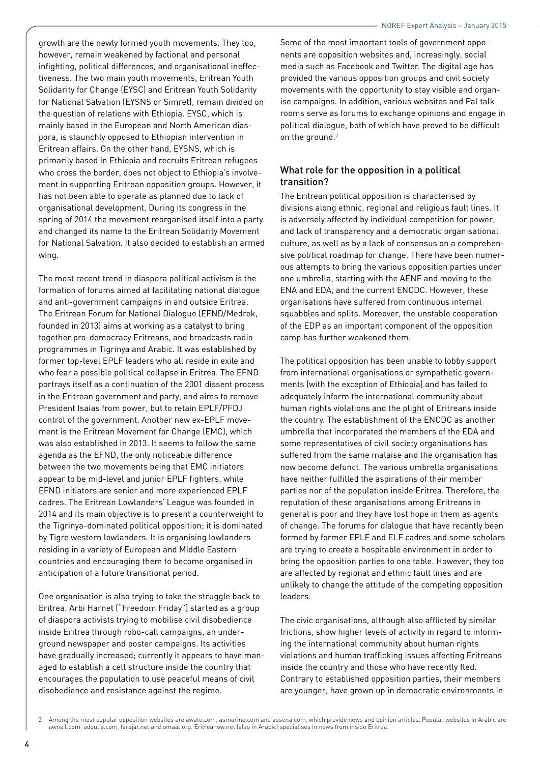growth are the newly formed youth movements. They too, however, remain weakened by factional and personal infighting, political differences, and organisational ineffectiveness. The two main youth movements, Eritrean Youth Solidarity for Change (EYSC) and Eritrean Youth Solidarity for National Salvation (EYSNS or Simret), remain divided on the question of relations with Ethiopia. EYSC, which is mainly based in the European and North American diaspora, is staunchly opposed to Ethiopian intervention in Eritrean affairs. On the other hand, EYSNS, which is primarily based in Ethiopia and recruits Eritrean refugees who cross the border, does not object to Ethiopia's involvement in supporting Eritrean opposition groups. However, it has not been able to operate as planned due to lack of organisational development. During its congress in the spring of 2014 the movement reorganised itself into a party and changed its name to the Eritrean Solidarity Movement for National Salvation. It also decided to establish an armed wing.

The most recent trend in diaspora political activism is the formation of forums aimed at facilitating national dialogue and anti-government campaigns in and outside Eritrea. The Eritrean Forum for National Dialogue (EFND/Medrek, founded in 2013) aims at working as a catalyst to bring together pro-democracy Eritreans, and broadcasts radio programmes in Tigrinya and Arabic. It was established by former top-level EPLF leaders who all reside in exile and who fear a possible political collapse in Eritrea. The EFND portrays itself as a continuation of the 2001 dissent process in the Eritrean government and party, and aims to remove President Isaias from power, but to retain EPLF/PFDJ control of the government. Another new ex-EPLF movement is the Eritrean Movement for Change (EMC), which was also established in 2013. It seems to follow the same agenda as the EFND, the only noticeable difference between the two movements being that EMC initiators appear to be mid-level and junior EPLF fighters, while EFND initiators are senior and more experienced EPLF cadres. The Eritrean Lowlanders' League was founded in 2014 and its main objective is to present a counterweight to the Tigrinya-dominated political opposition; it is dominated by Tigre western lowlanders. It is organising lowlanders residing in a variety of European and Middle Eastern countries and encouraging them to become organised in anticipation of a future transitional period.

One organisation is also trying to take the struggle back to Eritrea. Arbi Harnet ("Freedom Friday") started as a group of diaspora activists trying to mobilise civil disobedience inside Eritrea through robo-call campaigns, an underground newspaper and poster campaigns. Its activities have gradually increased; currently it appears to have managed to establish a cell structure inside the country that encourages the population to use peaceful means of civil disobedience and resistance against the regime.

Some of the most important tools of government opponents are opposition websites and, increasingly, social media such as Facebook and Twitter. The digital age has provided the various opposition groups and civil society movements with the opportunity to stay visible and organise campaigns. In addition, various websites and Pal talk rooms serve as forums to exchange opinions and engage in political dialogue, both of which have proved to be difficult on the ground.<sup>2</sup>

#### What role for the opposition in a political transition?

The Eritrean political opposition is characterised by divisions along ethnic, regional and religious fault lines. It is adversely affected by individual competition for power, and lack of transparency and a democratic organisational culture, as well as by a lack of consensus on a comprehensive political roadmap for change. There have been numerous attempts to bring the various opposition parties under one umbrella, starting with the AENF and moving to the ENA and EDA, and the current ENCDC. However, these organisations have suffered from continuous internal squabbles and splits. Moreover, the unstable cooperation of the EDP as an important component of the opposition camp has further weakened them.

The political opposition has been unable to lobby support from international organisations or sympathetic governments (with the exception of Ethiopia) and has failed to adequately inform the international community about human rights violations and the plight of Eritreans inside the country. The establishment of the ENCDC as another umbrella that incorporated the members of the EDA and some representatives of civil society organisations has suffered from the same malaise and the organisation has now become defunct. The various umbrella organisations have neither fulfilled the aspirations of their member parties nor of the population inside Eritrea. Therefore, the reputation of these organisations among Eritreans in general is poor and they have lost hope in them as agents of change. The forums for dialogue that have recently been formed by former EPLF and ELF cadres and some scholars are trying to create a hospitable environment in order to bring the opposition parties to one table. However, they too are affected by regional and ethnic fault lines and are unlikely to change the attitude of the competing opposition leaders.

The civic organisations, although also afflicted by similar frictions, show higher levels of activity in regard to informing the international community about human rights violations and human trafficking issues affecting Eritreans inside the country and those who have recently fled. Contrary to established opposition parties, their members are younger, have grown up in democratic environments in

<sup>2</sup> Among the most popular opposition websites are awate.com, asmarino.com and assena.com, which provide news and opinion articles. Popular websites in Arabic are awna1.com, adoulis.com, farajat.net and omaal.org. Eritreanow.net (also in Arabic) specialises in news from inside Eritrea.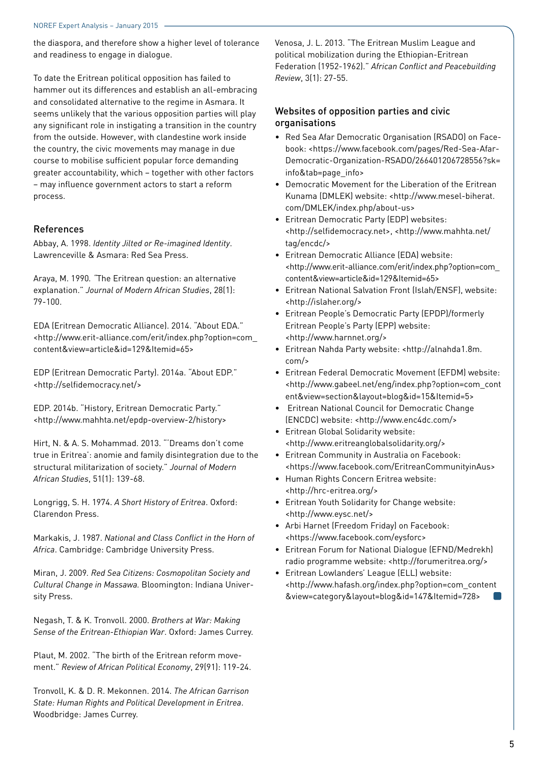the diaspora, and therefore show a higher level of tolerance and readiness to engage in dialogue.

To date the Eritrean political opposition has failed to hammer out its differences and establish an all-embracing and consolidated alternative to the regime in Asmara. It seems unlikely that the various opposition parties will play any significant role in instigating a transition in the country from the outside. However, with clandestine work inside the country, the civic movements may manage in due course to mobilise sufficient popular force demanding greater accountability, which – together with other factors – may influence government actors to start a reform process.

#### References

Abbay, A. 1998. *Identity Jilted or Re-imagined Identity*. Lawrenceville & Asmara: Red Sea Press.

Araya, M. 1990*. "*The Eritrean question: an alternative explanation." *Journal of Modern African Studies*, 28(1): 79-100.

EDA (Eritrean Democratic Alliance). 2014. "About EDA." <http://www.erit-alliance.com/erit/index.php?option=com\_ content&view=article&id=129&Itemid=65>

EDP (Eritrean Democratic Party). 2014a. "About EDP." <http://selfidemocracy.net/>

EDP. 2014b. "History, Eritrean Democratic Party." <http://www.mahhta.net/epdp-overview-2/history>

Hirt, N. & A. S. Mohammad. 2013. "'Dreams don't come true in Eritrea': anomie and family disintegration due to the structural militarization of society." *Journal of Modern African Studies*, 51(1): 139-68.

Longrigg, S. H. 1974. *A Short History of Eritrea*. Oxford: Clarendon Press.

Markakis, J. 1987. *National and Class Conflict in the Horn of Africa*. Cambridge: Cambridge University Press.

Miran, J. 2009*. Red Sea Citizens: Cosmopolitan Society and Cultural Change in Massawa.* Bloomington: Indiana University Press.

Negash, T. & K. Tronvoll. 2000. *Brothers at War: Making Sense of the Eritrean-Ethiopian War*. Oxford: James Currey.

Plaut, M. 2002. "The birth of the Eritrean reform movement." *Review of African Political Economy*, 29(91): 119-24.

Tronvoll, K. & D. R. Mekonnen. 2014. *The African Garrison State: Human Rights and Political Development in Eritrea*. Woodbridge: James Currey.

Venosa, J. L. 2013. "The Eritrean Muslim League and political mobilization during the Ethiopian-Eritrean Federation (1952-1962)." *African Conflict and Peacebuilding Review*, 3(1): 27-55.

#### Websites of opposition parties and civic organisations

- Red Sea Afar Democratic Organisation (RSADO) on Facebook: <https://www.facebook.com/pages/Red-Sea-Afar-Democratic-Organization-RSADO/266401206728556?sk= info&tab=page\_info>
- Democratic Movement for the Liberation of the Eritrean Kunama (DMLEK) website: <http://www.mesel-biherat. com/DMLEK/index.php/about-us>
- Eritrean Democratic Party (EDP) websites: <http://selfidemocracy.net>, <http://www.mahhta.net/ tag/encdc/>
- Eritrean Democratic Alliance (EDA) website: <http://www.erit-alliance.com/erit/index.php?option=com\_ content&view=article&id=129&Itemid=65>
- Eritrean National Salvation Front (Islah/ENSF), website: <http://islaher.org/>
- Eritrean People's Democratic Party (EPDP)/formerly Eritrean People's Party (EPP) website: <http://www.harnnet.org/>
- Eritrean Nahda Party website: <http://alnahda1.8m. com/>
- Eritrean Federal Democratic Movement (EFDM) website: <http://www.gabeel.net/eng/index.php?option=com\_cont ent&view=section&layout=blog&id=15&Itemid=5>
- Eritrean National Council for Democratic Change (ENCDC) website: <http://www.enc4dc.com/>
- Eritrean Global Solidarity website: <http://www.eritreanglobalsolidarity.org/>
- Eritrean Community in Australia on Facebook: <https://www.facebook.com/EritreanCommunityinAus>
- Human Rights Concern Eritrea website: <http://hrc-eritrea.org/>
- Eritrean Youth Solidarity for Change website: <http://www.eysc.net/>
- Arbi Harnet (Freedom Friday) on Facebook: <https://www.facebook.com/eysforc>
- Eritrean Forum for National Dialogue (EFND/Medrekh) radio programme website: <http://forumeritrea.org/>
- Eritrean Lowlanders' League (ELL) website: <http://www.hafash.org/index.php?option=com\_content &view=category&layout=blog&id=147&Itemid=728>